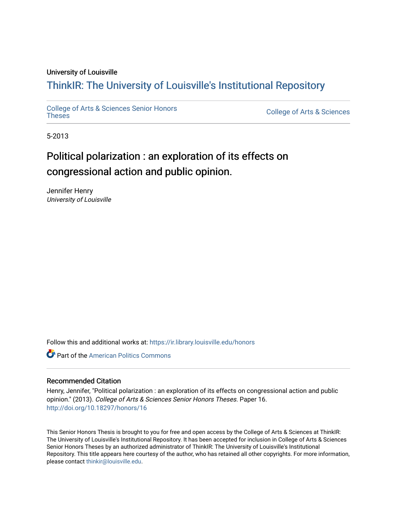## University of Louisville

# ThinkIR: The Univ[ersity of Louisville's Institutional Reposit](https://ir.library.louisville.edu/)ory

[College of Arts & Sciences Senior Honors](https://ir.library.louisville.edu/honors)

College of Arts & Sciences

5-2013

# Political polarization : an exploration of its effects on congressional action and public opinion.

Jennifer Henry University of Louisville

Follow this and additional works at: [https://ir.library.louisville.edu/honors](https://ir.library.louisville.edu/honors?utm_source=ir.library.louisville.edu%2Fhonors%2F16&utm_medium=PDF&utm_campaign=PDFCoverPages)

**Part of the American Politics Commons** 

#### Recommended Citation

Henry, Jennifer, "Political polarization : an exploration of its effects on congressional action and public opinion." (2013). College of Arts & Sciences Senior Honors Theses. Paper 16. <http://doi.org/10.18297/honors/16>

This Senior Honors Thesis is brought to you for free and open access by the College of Arts & Sciences at ThinkIR: The University of Louisville's Institutional Repository. It has been accepted for inclusion in College of Arts & Sciences Senior Honors Theses by an authorized administrator of ThinkIR: The University of Louisville's Institutional Repository. This title appears here courtesy of the author, who has retained all other copyrights. For more information, please contact [thinkir@louisville.edu.](mailto:thinkir@louisville.edu)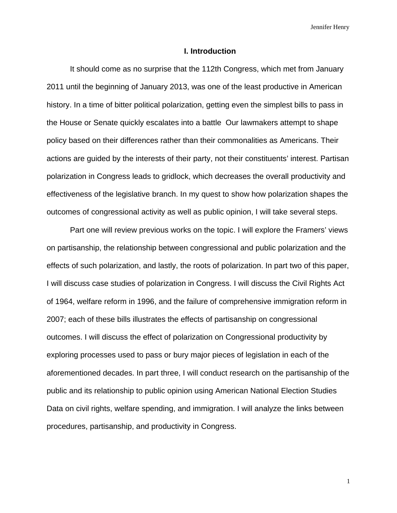#### **I. Introduction**

 It should come as no surprise that the 112th Congress, which met from January 2011 until the beginning of January 2013, was one of the least productive in American history. In a time of bitter political polarization, getting even the simplest bills to pass in the House or Senate quickly escalates into a battle Our lawmakers attempt to shape policy based on their differences rather than their commonalities as Americans. Their actions are guided by the interests of their party, not their constituents' interest. Partisan polarization in Congress leads to gridlock, which decreases the overall productivity and effectiveness of the legislative branch. In my quest to show how polarization shapes the outcomes of congressional activity as well as public opinion, I will take several steps.

 Part one will review previous works on the topic. I will explore the Framers' views on partisanship, the relationship between congressional and public polarization and the effects of such polarization, and lastly, the roots of polarization. In part two of this paper, I will discuss case studies of polarization in Congress. I will discuss the Civil Rights Act of 1964, welfare reform in 1996, and the failure of comprehensive immigration reform in 2007; each of these bills illustrates the effects of partisanship on congressional outcomes. I will discuss the effect of polarization on Congressional productivity by exploring processes used to pass or bury major pieces of legislation in each of the aforementioned decades. In part three, I will conduct research on the partisanship of the public and its relationship to public opinion using American National Election Studies Data on civil rights, welfare spending, and immigration. I will analyze the links between procedures, partisanship, and productivity in Congress.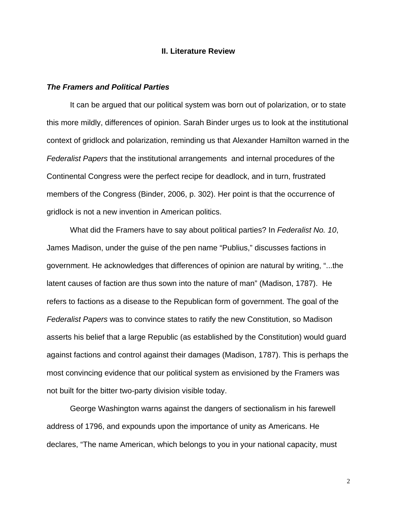## **II. Literature Review**

## *The Framers and Political Parties*

 It can be argued that our political system was born out of polarization, or to state this more mildly, differences of opinion. Sarah Binder urges us to look at the institutional context of gridlock and polarization, reminding us that Alexander Hamilton warned in the *Federalist Papers* that the institutional arrangements and internal procedures of the Continental Congress were the perfect recipe for deadlock, and in turn, frustrated members of the Congress (Binder, 2006, p. 302). Her point is that the occurrence of gridlock is not a new invention in American politics.

 What did the Framers have to say about political parties? In *Federalist No. 10*, James Madison, under the guise of the pen name "Publius," discusses factions in government. He acknowledges that differences of opinion are natural by writing, "...the latent causes of faction are thus sown into the nature of man" (Madison, 1787). He refers to factions as a disease to the Republican form of government. The goal of the *Federalist Papers* was to convince states to ratify the new Constitution, so Madison asserts his belief that a large Republic (as established by the Constitution) would guard against factions and control against their damages (Madison, 1787). This is perhaps the most convincing evidence that our political system as envisioned by the Framers was not built for the bitter two-party division visible today.

 George Washington warns against the dangers of sectionalism in his farewell address of 1796, and expounds upon the importance of unity as Americans. He declares, "The name American, which belongs to you in your national capacity, must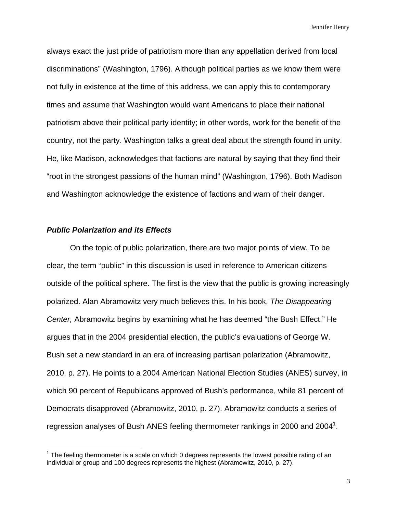always exact the just pride of patriotism more than any appellation derived from local discriminations" (Washington, 1796). Although political parties as we know them were not fully in existence at the time of this address, we can apply this to contemporary times and assume that Washington would want Americans to place their national patriotism above their political party identity; in other words, work for the benefit of the country, not the party. Washington talks a great deal about the strength found in unity. He, like Madison, acknowledges that factions are natural by saying that they find their "root in the strongest passions of the human mind" (Washington, 1796). Both Madison and Washington acknowledge the existence of factions and warn of their danger.

# *Public Polarization and its Effects*

1

 On the topic of public polarization, there are two major points of view. To be clear, the term "public" in this discussion is used in reference to American citizens outside of the political sphere. The first is the view that the public is growing increasingly polarized. Alan Abramowitz very much believes this. In his book, *The Disappearing Center,* Abramowitz begins by examining what he has deemed "the Bush Effect." He argues that in the 2004 presidential election, the public's evaluations of George W. Bush set a new standard in an era of increasing partisan polarization (Abramowitz, 2010, p. 27). He points to a 2004 American National Election Studies (ANES) survey, in which 90 percent of Republicans approved of Bush's performance, while 81 percent of Democrats disapproved (Abramowitz, 2010, p. 27). Abramowitz conducts a series of regression analyses of Bush ANES feeling thermometer rankings in 2000 and 2004<sup>1</sup>.

 $1$  The feeling thermometer is a scale on which 0 degrees represents the lowest possible rating of an individual or group and 100 degrees represents the highest (Abramowitz, 2010, p. 27).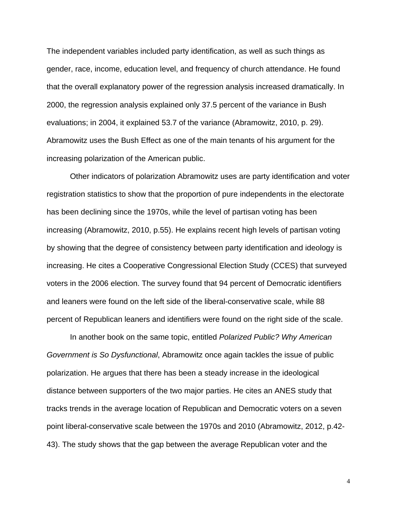The independent variables included party identification, as well as such things as gender, race, income, education level, and frequency of church attendance. He found that the overall explanatory power of the regression analysis increased dramatically. In 2000, the regression analysis explained only 37.5 percent of the variance in Bush evaluations; in 2004, it explained 53.7 of the variance (Abramowitz, 2010, p. 29). Abramowitz uses the Bush Effect as one of the main tenants of his argument for the increasing polarization of the American public.

 Other indicators of polarization Abramowitz uses are party identification and voter registration statistics to show that the proportion of pure independents in the electorate has been declining since the 1970s, while the level of partisan voting has been increasing (Abramowitz, 2010, p.55). He explains recent high levels of partisan voting by showing that the degree of consistency between party identification and ideology is increasing. He cites a Cooperative Congressional Election Study (CCES) that surveyed voters in the 2006 election. The survey found that 94 percent of Democratic identifiers and leaners were found on the left side of the liberal-conservative scale, while 88 percent of Republican leaners and identifiers were found on the right side of the scale.

 In another book on the same topic, entitled *Polarized Public? Why American Government is So Dysfunctional*, Abramowitz once again tackles the issue of public polarization. He argues that there has been a steady increase in the ideological distance between supporters of the two major parties. He cites an ANES study that tracks trends in the average location of Republican and Democratic voters on a seven point liberal-conservative scale between the 1970s and 2010 (Abramowitz, 2012, p.42- 43). The study shows that the gap between the average Republican voter and the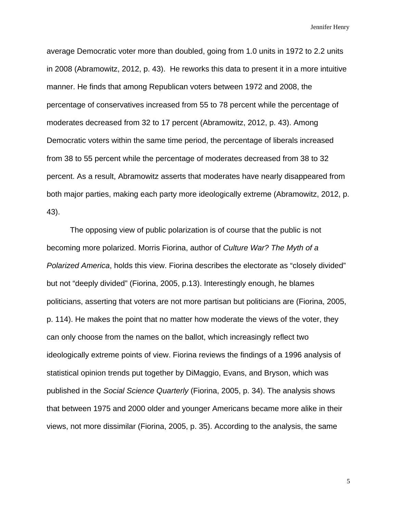average Democratic voter more than doubled, going from 1.0 units in 1972 to 2.2 units in 2008 (Abramowitz, 2012, p. 43). He reworks this data to present it in a more intuitive manner. He finds that among Republican voters between 1972 and 2008, the percentage of conservatives increased from 55 to 78 percent while the percentage of moderates decreased from 32 to 17 percent (Abramowitz, 2012, p. 43). Among Democratic voters within the same time period, the percentage of liberals increased from 38 to 55 percent while the percentage of moderates decreased from 38 to 32 percent. As a result, Abramowitz asserts that moderates have nearly disappeared from both major parties, making each party more ideologically extreme (Abramowitz, 2012, p. 43).

 The opposing view of public polarization is of course that the public is not becoming more polarized. Morris Fiorina, author of *Culture War? The Myth of a Polarized America*, holds this view. Fiorina describes the electorate as "closely divided" but not "deeply divided" (Fiorina, 2005, p.13). Interestingly enough, he blames politicians, asserting that voters are not more partisan but politicians are (Fiorina, 2005, p. 114). He makes the point that no matter how moderate the views of the voter, they can only choose from the names on the ballot, which increasingly reflect two ideologically extreme points of view. Fiorina reviews the findings of a 1996 analysis of statistical opinion trends put together by DiMaggio, Evans, and Bryson, which was published in the *Social Science Quarterly* (Fiorina, 2005, p. 34). The analysis shows that between 1975 and 2000 older and younger Americans became more alike in their views, not more dissimilar (Fiorina, 2005, p. 35). According to the analysis, the same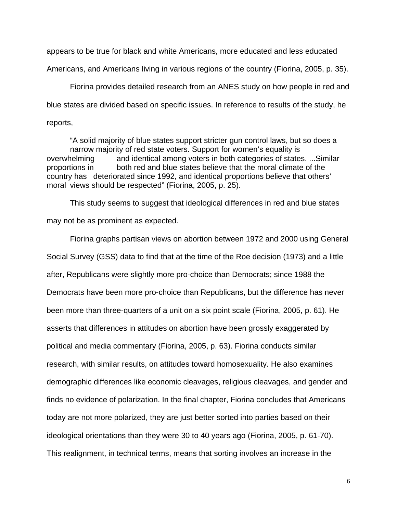appears to be true for black and white Americans, more educated and less educated

Americans, and Americans living in various regions of the country (Fiorina, 2005, p. 35).

 Fiorina provides detailed research from an ANES study on how people in red and blue states are divided based on specific issues. In reference to results of the study, he reports,

 "A solid majority of blue states support stricter gun control laws, but so does a narrow majority of red state voters. Support for women's equality is overwhelming and identical among voters in both categories of states. ...Similar proportions in both red and blue states believe that the moral climate of the country has deteriorated since 1992, and identical proportions believe that others' moral views should be respected" (Fiorina, 2005, p. 25).

 This study seems to suggest that ideological differences in red and blue states may not be as prominent as expected.

 Fiorina graphs partisan views on abortion between 1972 and 2000 using General Social Survey (GSS) data to find that at the time of the Roe decision (1973) and a little after, Republicans were slightly more pro-choice than Democrats; since 1988 the Democrats have been more pro-choice than Republicans, but the difference has never been more than three-quarters of a unit on a six point scale (Fiorina, 2005, p. 61). He asserts that differences in attitudes on abortion have been grossly exaggerated by political and media commentary (Fiorina, 2005, p. 63). Fiorina conducts similar research, with similar results, on attitudes toward homosexuality. He also examines demographic differences like economic cleavages, religious cleavages, and gender and finds no evidence of polarization. In the final chapter, Fiorina concludes that Americans today are not more polarized, they are just better sorted into parties based on their ideological orientations than they were 30 to 40 years ago (Fiorina, 2005, p. 61-70). This realignment, in technical terms, means that sorting involves an increase in the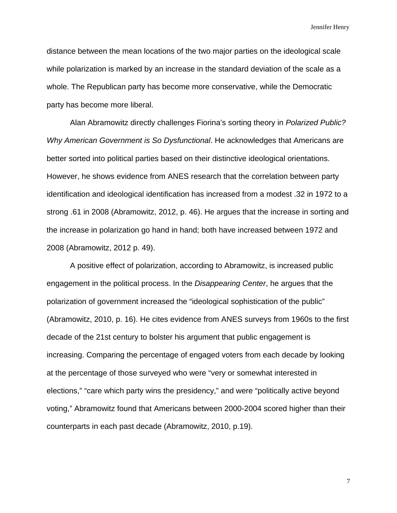distance between the mean locations of the two major parties on the ideological scale while polarization is marked by an increase in the standard deviation of the scale as a whole. The Republican party has become more conservative, while the Democratic party has become more liberal.

 Alan Abramowitz directly challenges Fiorina's sorting theory in *Polarized Public? Why American Government is So Dysfunctional*. He acknowledges that Americans are better sorted into political parties based on their distinctive ideological orientations. However, he shows evidence from ANES research that the correlation between party identification and ideological identification has increased from a modest .32 in 1972 to a strong .61 in 2008 (Abramowitz, 2012, p. 46). He argues that the increase in sorting and the increase in polarization go hand in hand; both have increased between 1972 and 2008 (Abramowitz, 2012 p. 49).

A positive effect of polarization, according to Abramowitz, is increased public engagement in the political process. In the *Disappearing Center*, he argues that the polarization of government increased the "ideological sophistication of the public" (Abramowitz, 2010, p. 16). He cites evidence from ANES surveys from 1960s to the first decade of the 21st century to bolster his argument that public engagement is increasing. Comparing the percentage of engaged voters from each decade by looking at the percentage of those surveyed who were "very or somewhat interested in elections," "care which party wins the presidency," and were "politically active beyond voting," Abramowitz found that Americans between 2000-2004 scored higher than their counterparts in each past decade (Abramowitz, 2010, p.19).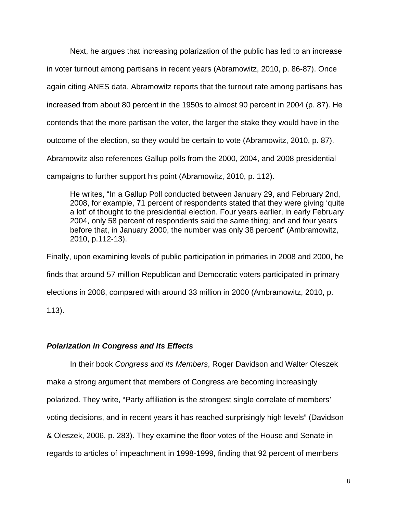Next, he argues that increasing polarization of the public has led to an increase in voter turnout among partisans in recent years (Abramowitz, 2010, p. 86-87). Once again citing ANES data, Abramowitz reports that the turnout rate among partisans has increased from about 80 percent in the 1950s to almost 90 percent in 2004 (p. 87). He contends that the more partisan the voter, the larger the stake they would have in the outcome of the election, so they would be certain to vote (Abramowitz, 2010, p. 87). Abramowitz also references Gallup polls from the 2000, 2004, and 2008 presidential campaigns to further support his point (Abramowitz, 2010, p. 112).

 He writes, "In a Gallup Poll conducted between January 29, and February 2nd, 2008, for example, 71 percent of respondents stated that they were giving 'quite a lot' of thought to the presidential election. Four years earlier, in early February 2004, only 58 percent of respondents said the same thing; and and four years before that, in January 2000, the number was only 38 percent" (Ambramowitz, 2010, p.112-13).

Finally, upon examining levels of public participation in primaries in 2008 and 2000, he finds that around 57 million Republican and Democratic voters participated in primary elections in 2008, compared with around 33 million in 2000 (Ambramowitz, 2010, p. 113).

# *Polarization in Congress and its Effects*

In their book *Congress and its Members*, Roger Davidson and Walter Oleszek make a strong argument that members of Congress are becoming increasingly polarized. They write, "Party affiliation is the strongest single correlate of members' voting decisions, and in recent years it has reached surprisingly high levels" (Davidson & Oleszek, 2006, p. 283). They examine the floor votes of the House and Senate in regards to articles of impeachment in 1998-1999, finding that 92 percent of members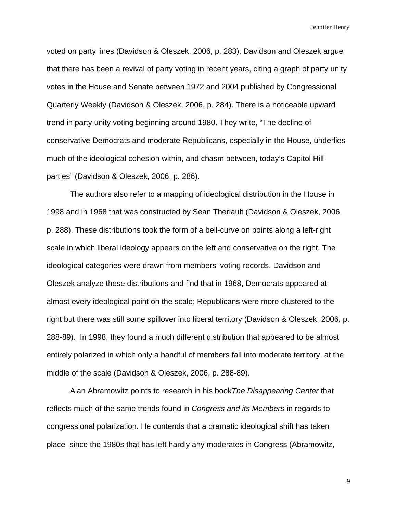voted on party lines (Davidson & Oleszek, 2006, p. 283). Davidson and Oleszek argue that there has been a revival of party voting in recent years, citing a graph of party unity votes in the House and Senate between 1972 and 2004 published by Congressional Quarterly Weekly (Davidson & Oleszek, 2006, p. 284). There is a noticeable upward trend in party unity voting beginning around 1980. They write, "The decline of conservative Democrats and moderate Republicans, especially in the House, underlies much of the ideological cohesion within, and chasm between, today's Capitol Hill parties" (Davidson & Oleszek, 2006, p. 286).

 The authors also refer to a mapping of ideological distribution in the House in 1998 and in 1968 that was constructed by Sean Theriault (Davidson & Oleszek, 2006, p. 288). These distributions took the form of a bell-curve on points along a left-right scale in which liberal ideology appears on the left and conservative on the right. The ideological categories were drawn from members' voting records. Davidson and Oleszek analyze these distributions and find that in 1968, Democrats appeared at almost every ideological point on the scale; Republicans were more clustered to the right but there was still some spillover into liberal territory (Davidson & Oleszek, 2006, p. 288-89). In 1998, they found a much different distribution that appeared to be almost entirely polarized in which only a handful of members fall into moderate territory, at the middle of the scale (Davidson & Oleszek, 2006, p. 288-89).

 Alan Abramowitz points to research in his book*The Disappearing Center* that reflects much of the same trends found in *Congress and its Members* in regards to congressional polarization. He contends that a dramatic ideological shift has taken place since the 1980s that has left hardly any moderates in Congress (Abramowitz,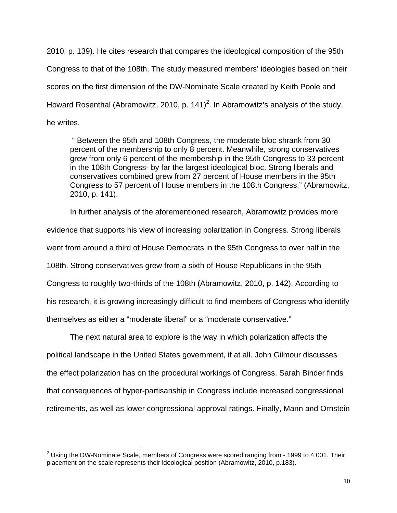2010, p. 139). He cites research that compares the ideological composition of the 95th Congress to that of the 108th. The study measured members' ideologies based on their scores on the first dimension of the DW-Nominate Scale created by Keith Poole and Howard Rosenthal (Abramowitz, 2010, p. 141)<sup>2</sup>. In Abramowitz's analysis of the study, he writes,

 " Between the 95th and 108th Congress, the moderate bloc shrank from 30 percent of the membership to only 8 percent. Meanwhile, strong conservatives grew from only 6 percent of the membership in the 95th Congress to 33 percent in the 108th Congress- by far the largest ideological bloc. Strong liberals and conservatives combined grew from 27 percent of House members in the 95th Congress to 57 percent of House members in the 108th Congress," (Abramowitz, 2010, p. 141).

 In further analysis of the aforementioned research, Abramowitz provides more evidence that supports his view of increasing polarization in Congress. Strong liberals went from around a third of House Democrats in the 95th Congress to over half in the 108th. Strong conservatives grew from a sixth of House Republicans in the 95th Congress to roughly two-thirds of the 108th (Abramowitz, 2010, p. 142). According to his research, it is growing increasingly difficult to find members of Congress who identify themselves as either a "moderate liberal" or a "moderate conservative."

The next natural area to explore is the way in which polarization affects the political landscape in the United States government, if at all. John Gilmour discusses the effect polarization has on the procedural workings of Congress. Sarah Binder finds that consequences of hyper-partisanship in Congress include increased congressional retirements, as well as lower congressional approval ratings. Finally, Mann and Ornstein

 2 Using the DW-Nominate Scale, members of Congress were scored ranging from -.1999 to 4.001. Their placement on the scale represents their ideological position (Abramowitz, 2010, p.183).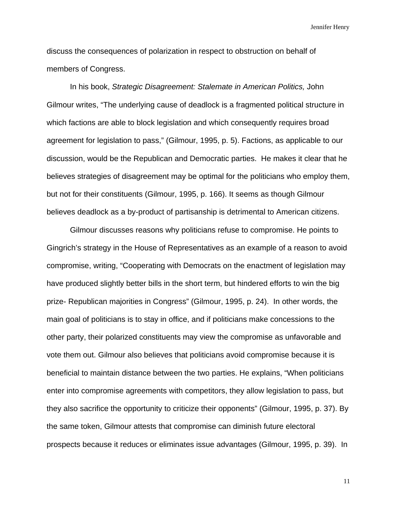discuss the consequences of polarization in respect to obstruction on behalf of members of Congress.

 In his book, *Strategic Disagreement: Stalemate in American Politics,* John Gilmour writes, "The underlying cause of deadlock is a fragmented political structure in which factions are able to block legislation and which consequently requires broad agreement for legislation to pass," (Gilmour, 1995, p. 5). Factions, as applicable to our discussion, would be the Republican and Democratic parties. He makes it clear that he believes strategies of disagreement may be optimal for the politicians who employ them, but not for their constituents (Gilmour, 1995, p. 166). It seems as though Gilmour believes deadlock as a by-product of partisanship is detrimental to American citizens.

 Gilmour discusses reasons why politicians refuse to compromise. He points to Gingrich's strategy in the House of Representatives as an example of a reason to avoid compromise, writing, "Cooperating with Democrats on the enactment of legislation may have produced slightly better bills in the short term, but hindered efforts to win the big prize- Republican majorities in Congress" (Gilmour, 1995, p. 24). In other words, the main goal of politicians is to stay in office, and if politicians make concessions to the other party, their polarized constituents may view the compromise as unfavorable and vote them out. Gilmour also believes that politicians avoid compromise because it is beneficial to maintain distance between the two parties. He explains, "When politicians enter into compromise agreements with competitors, they allow legislation to pass, but they also sacrifice the opportunity to criticize their opponents" (Gilmour, 1995, p. 37). By the same token, Gilmour attests that compromise can diminish future electoral prospects because it reduces or eliminates issue advantages (Gilmour, 1995, p. 39). In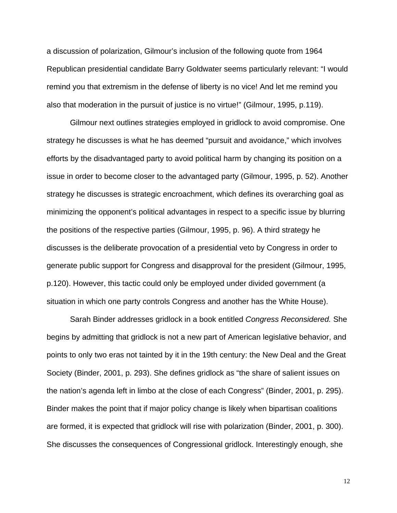a discussion of polarization, Gilmour's inclusion of the following quote from 1964 Republican presidential candidate Barry Goldwater seems particularly relevant: "I would remind you that extremism in the defense of liberty is no vice! And let me remind you also that moderation in the pursuit of justice is no virtue!" (Gilmour, 1995, p.119).

 Gilmour next outlines strategies employed in gridlock to avoid compromise. One strategy he discusses is what he has deemed "pursuit and avoidance," which involves efforts by the disadvantaged party to avoid political harm by changing its position on a issue in order to become closer to the advantaged party (Gilmour, 1995, p. 52). Another strategy he discusses is strategic encroachment, which defines its overarching goal as minimizing the opponent's political advantages in respect to a specific issue by blurring the positions of the respective parties (Gilmour, 1995, p. 96). A third strategy he discusses is the deliberate provocation of a presidential veto by Congress in order to generate public support for Congress and disapproval for the president (Gilmour, 1995, p.120). However, this tactic could only be employed under divided government (a situation in which one party controls Congress and another has the White House).

 Sarah Binder addresses gridlock in a book entitled *Congress Reconsidered.* She begins by admitting that gridlock is not a new part of American legislative behavior, and points to only two eras not tainted by it in the 19th century: the New Deal and the Great Society (Binder, 2001, p. 293). She defines gridlock as "the share of salient issues on the nation's agenda left in limbo at the close of each Congress" (Binder, 2001, p. 295). Binder makes the point that if major policy change is likely when bipartisan coalitions are formed, it is expected that gridlock will rise with polarization (Binder, 2001, p. 300). She discusses the consequences of Congressional gridlock. Interestingly enough, she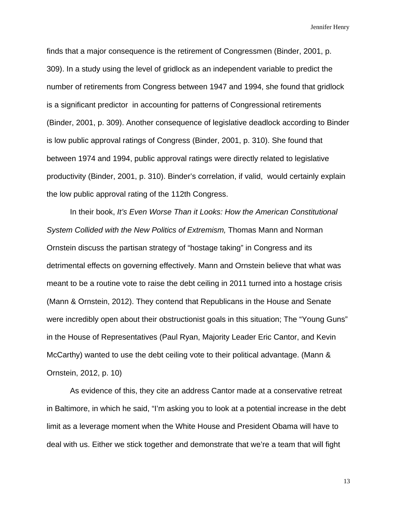finds that a major consequence is the retirement of Congressmen (Binder, 2001, p. 309). In a study using the level of gridlock as an independent variable to predict the number of retirements from Congress between 1947 and 1994, she found that gridlock is a significant predictor in accounting for patterns of Congressional retirements (Binder, 2001, p. 309). Another consequence of legislative deadlock according to Binder is low public approval ratings of Congress (Binder, 2001, p. 310). She found that between 1974 and 1994, public approval ratings were directly related to legislative productivity (Binder, 2001, p. 310). Binder's correlation, if valid, would certainly explain the low public approval rating of the 112th Congress.

 In their book, *It's Even Worse Than it Looks: How the American Constitutional System Collided with the New Politics of Extremism,* Thomas Mann and Norman Ornstein discuss the partisan strategy of "hostage taking" in Congress and its detrimental effects on governing effectively. Mann and Ornstein believe that what was meant to be a routine vote to raise the debt ceiling in 2011 turned into a hostage crisis (Mann & Ornstein, 2012). They contend that Republicans in the House and Senate were incredibly open about their obstructionist goals in this situation; The "Young Guns" in the House of Representatives (Paul Ryan, Majority Leader Eric Cantor, and Kevin McCarthy) wanted to use the debt ceiling vote to their political advantage. (Mann & Ornstein, 2012, p. 10)

 As evidence of this, they cite an address Cantor made at a conservative retreat in Baltimore, in which he said, "I'm asking you to look at a potential increase in the debt limit as a leverage moment when the White House and President Obama will have to deal with us. Either we stick together and demonstrate that we're a team that will fight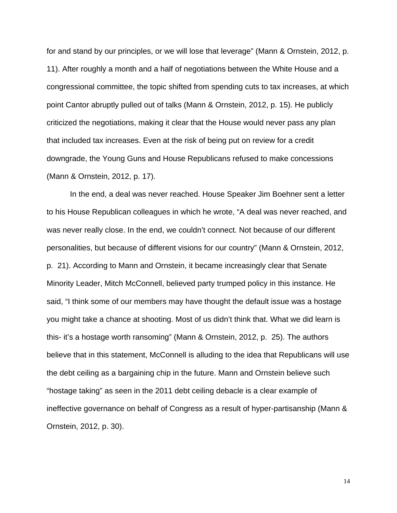for and stand by our principles, or we will lose that leverage" (Mann & Ornstein, 2012, p. 11). After roughly a month and a half of negotiations between the White House and a congressional committee, the topic shifted from spending cuts to tax increases, at which point Cantor abruptly pulled out of talks (Mann & Ornstein, 2012, p. 15). He publicly criticized the negotiations, making it clear that the House would never pass any plan that included tax increases. Even at the risk of being put on review for a credit downgrade, the Young Guns and House Republicans refused to make concessions (Mann & Ornstein, 2012, p. 17).

 In the end, a deal was never reached. House Speaker Jim Boehner sent a letter to his House Republican colleagues in which he wrote, "A deal was never reached, and was never really close. In the end, we couldn't connect. Not because of our different personalities, but because of different visions for our country" (Mann & Ornstein, 2012, p. 21). According to Mann and Ornstein, it became increasingly clear that Senate Minority Leader, Mitch McConnell, believed party trumped policy in this instance. He said, "I think some of our members may have thought the default issue was a hostage you might take a chance at shooting. Most of us didn't think that. What we did learn is this- it's a hostage worth ransoming" (Mann & Ornstein, 2012, p. 25). The authors believe that in this statement, McConnell is alluding to the idea that Republicans will use the debt ceiling as a bargaining chip in the future. Mann and Ornstein believe such "hostage taking" as seen in the 2011 debt ceiling debacle is a clear example of ineffective governance on behalf of Congress as a result of hyper-partisanship (Mann & Ornstein, 2012, p. 30).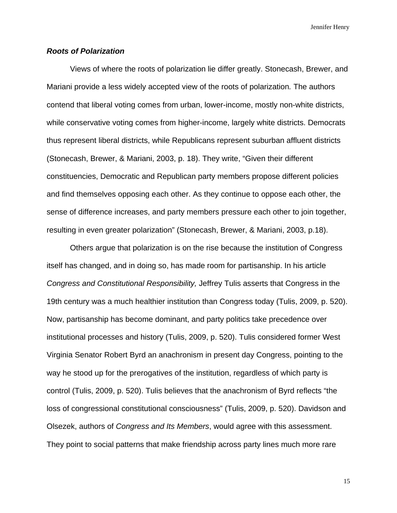# *Roots of Polarization*

 Views of where the roots of polarization lie differ greatly. Stonecash, Brewer, and Mariani provide a less widely accepted view of the roots of polarization*.* The authors contend that liberal voting comes from urban, lower-income, mostly non-white districts, while conservative voting comes from higher-income, largely white districts. Democrats thus represent liberal districts, while Republicans represent suburban affluent districts (Stonecash, Brewer, & Mariani, 2003, p. 18). They write, "Given their different constituencies, Democratic and Republican party members propose different policies and find themselves opposing each other. As they continue to oppose each other, the sense of difference increases, and party members pressure each other to join together, resulting in even greater polarization" (Stonecash, Brewer, & Mariani, 2003, p.18).

 Others argue that polarization is on the rise because the institution of Congress itself has changed, and in doing so, has made room for partisanship. In his article *Congress and Constitutional Responsibility,* Jeffrey Tulis asserts that Congress in the 19th century was a much healthier institution than Congress today (Tulis, 2009, p. 520). Now, partisanship has become dominant, and party politics take precedence over institutional processes and history (Tulis, 2009, p. 520). Tulis considered former West Virginia Senator Robert Byrd an anachronism in present day Congress, pointing to the way he stood up for the prerogatives of the institution, regardless of which party is control (Tulis, 2009, p. 520). Tulis believes that the anachronism of Byrd reflects "the loss of congressional constitutional consciousness" (Tulis, 2009, p. 520). Davidson and Olsezek, authors of *Congress and Its Members*, would agree with this assessment. They point to social patterns that make friendship across party lines much more rare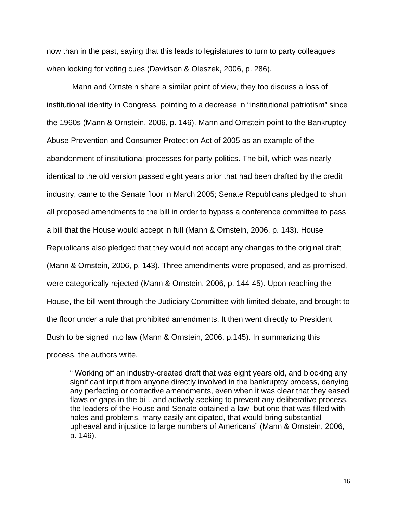now than in the past, saying that this leads to legislatures to turn to party colleagues when looking for voting cues (Davidson & Oleszek, 2006, p. 286).

 Mann and Ornstein share a similar point of view*;* they too discuss a loss of institutional identity in Congress, pointing to a decrease in "institutional patriotism" since the 1960s (Mann & Ornstein, 2006, p. 146). Mann and Ornstein point to the Bankruptcy Abuse Prevention and Consumer Protection Act of 2005 as an example of the abandonment of institutional processes for party politics. The bill, which was nearly identical to the old version passed eight years prior that had been drafted by the credit industry, came to the Senate floor in March 2005; Senate Republicans pledged to shun all proposed amendments to the bill in order to bypass a conference committee to pass a bill that the House would accept in full (Mann & Ornstein, 2006, p. 143). House Republicans also pledged that they would not accept any changes to the original draft (Mann & Ornstein, 2006, p. 143). Three amendments were proposed, and as promised, were categorically rejected (Mann & Ornstein, 2006, p. 144-45). Upon reaching the House, the bill went through the Judiciary Committee with limited debate, and brought to the floor under a rule that prohibited amendments. It then went directly to President Bush to be signed into law (Mann & Ornstein, 2006, p.145). In summarizing this process, the authors write,

 " Working off an industry-created draft that was eight years old, and blocking any significant input from anyone directly involved in the bankruptcy process, denying any perfecting or corrective amendments, even when it was clear that they eased flaws or gaps in the bill, and actively seeking to prevent any deliberative process, the leaders of the House and Senate obtained a law- but one that was filled with holes and problems, many easily anticipated, that would bring substantial upheaval and injustice to large numbers of Americans" (Mann & Ornstein, 2006, p. 146).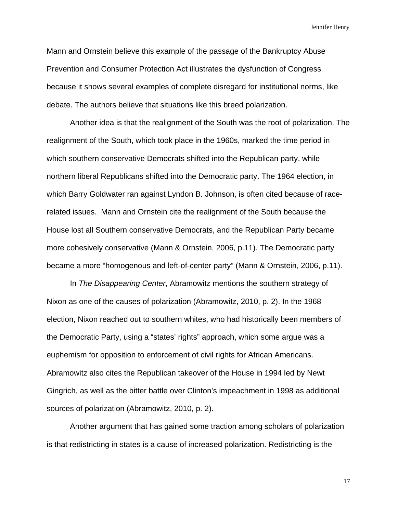Mann and Ornstein believe this example of the passage of the Bankruptcy Abuse Prevention and Consumer Protection Act illustrates the dysfunction of Congress because it shows several examples of complete disregard for institutional norms, like debate. The authors believe that situations like this breed polarization.

 Another idea is that the realignment of the South was the root of polarization. The realignment of the South, which took place in the 1960s, marked the time period in which southern conservative Democrats shifted into the Republican party, while northern liberal Republicans shifted into the Democratic party. The 1964 election, in which Barry Goldwater ran against Lyndon B. Johnson, is often cited because of racerelated issues. Mann and Ornstein cite the realignment of the South because the House lost all Southern conservative Democrats, and the Republican Party became more cohesively conservative (Mann & Ornstein, 2006, p.11). The Democratic party became a more "homogenous and left-of-center party" (Mann & Ornstein, 2006, p.11).

 In *The Disappearing Center*, Abramowitz mentions the southern strategy of Nixon as one of the causes of polarization (Abramowitz, 2010, p. 2). In the 1968 election, Nixon reached out to southern whites, who had historically been members of the Democratic Party, using a "states' rights" approach, which some argue was a euphemism for opposition to enforcement of civil rights for African Americans. Abramowitz also cites the Republican takeover of the House in 1994 led by Newt Gingrich, as well as the bitter battle over Clinton's impeachment in 1998 as additional sources of polarization (Abramowitz, 2010, p. 2).

 Another argument that has gained some traction among scholars of polarization is that redistricting in states is a cause of increased polarization. Redistricting is the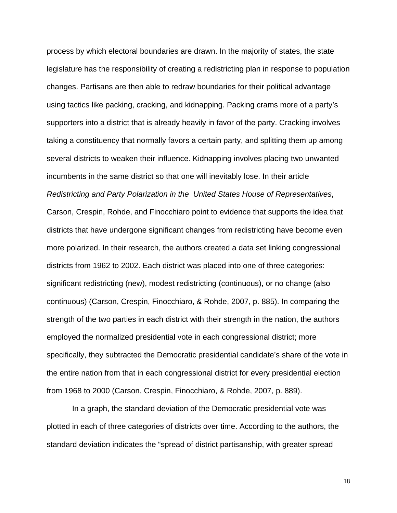process by which electoral boundaries are drawn. In the majority of states, the state legislature has the responsibility of creating a redistricting plan in response to population changes. Partisans are then able to redraw boundaries for their political advantage using tactics like packing, cracking, and kidnapping. Packing crams more of a party's supporters into a district that is already heavily in favor of the party. Cracking involves taking a constituency that normally favors a certain party, and splitting them up among several districts to weaken their influence. Kidnapping involves placing two unwanted incumbents in the same district so that one will inevitably lose. In their article *Redistricting and Party Polarization in the United States House of Representatives*, Carson, Crespin, Rohde, and Finocchiaro point to evidence that supports the idea that districts that have undergone significant changes from redistricting have become even more polarized. In their research, the authors created a data set linking congressional districts from 1962 to 2002. Each district was placed into one of three categories: significant redistricting (new), modest redistricting (continuous), or no change (also continuous) (Carson, Crespin, Finocchiaro, & Rohde, 2007, p. 885). In comparing the strength of the two parties in each district with their strength in the nation, the authors employed the normalized presidential vote in each congressional district; more specifically, they subtracted the Democratic presidential candidate's share of the vote in the entire nation from that in each congressional district for every presidential election from 1968 to 2000 (Carson, Crespin, Finocchiaro, & Rohde, 2007, p. 889).

 In a graph, the standard deviation of the Democratic presidential vote was plotted in each of three categories of districts over time. According to the authors, the standard deviation indicates the "spread of district partisanship, with greater spread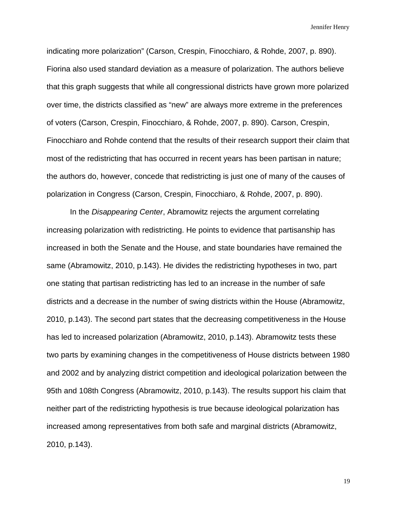indicating more polarization" (Carson, Crespin, Finocchiaro, & Rohde, 2007, p. 890). Fiorina also used standard deviation as a measure of polarization. The authors believe that this graph suggests that while all congressional districts have grown more polarized over time, the districts classified as "new" are always more extreme in the preferences of voters (Carson, Crespin, Finocchiaro, & Rohde, 2007, p. 890). Carson, Crespin, Finocchiaro and Rohde contend that the results of their research support their claim that most of the redistricting that has occurred in recent years has been partisan in nature; the authors do, however, concede that redistricting is just one of many of the causes of polarization in Congress (Carson, Crespin, Finocchiaro, & Rohde, 2007, p. 890).

 In the *Disappearing Center*, Abramowitz rejects the argument correlating increasing polarization with redistricting. He points to evidence that partisanship has increased in both the Senate and the House, and state boundaries have remained the same (Abramowitz, 2010, p.143). He divides the redistricting hypotheses in two, part one stating that partisan redistricting has led to an increase in the number of safe districts and a decrease in the number of swing districts within the House (Abramowitz, 2010, p.143). The second part states that the decreasing competitiveness in the House has led to increased polarization (Abramowitz, 2010, p.143). Abramowitz tests these two parts by examining changes in the competitiveness of House districts between 1980 and 2002 and by analyzing district competition and ideological polarization between the 95th and 108th Congress (Abramowitz, 2010, p.143). The results support his claim that neither part of the redistricting hypothesis is true because ideological polarization has increased among representatives from both safe and marginal districts (Abramowitz, 2010, p.143).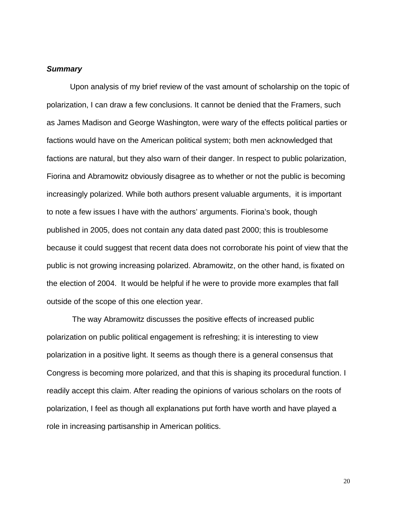#### *Summary*

 Upon analysis of my brief review of the vast amount of scholarship on the topic of polarization, I can draw a few conclusions. It cannot be denied that the Framers, such as James Madison and George Washington, were wary of the effects political parties or factions would have on the American political system; both men acknowledged that factions are natural, but they also warn of their danger. In respect to public polarization, Fiorina and Abramowitz obviously disagree as to whether or not the public is becoming increasingly polarized. While both authors present valuable arguments, it is important to note a few issues I have with the authors' arguments. Fiorina's book, though published in 2005, does not contain any data dated past 2000; this is troublesome because it could suggest that recent data does not corroborate his point of view that the public is not growing increasing polarized. Abramowitz, on the other hand, is fixated on the election of 2004. It would be helpful if he were to provide more examples that fall outside of the scope of this one election year.

 The way Abramowitz discusses the positive effects of increased public polarization on public political engagement is refreshing; it is interesting to view polarization in a positive light. It seems as though there is a general consensus that Congress is becoming more polarized, and that this is shaping its procedural function. I readily accept this claim. After reading the opinions of various scholars on the roots of polarization, I feel as though all explanations put forth have worth and have played a role in increasing partisanship in American politics.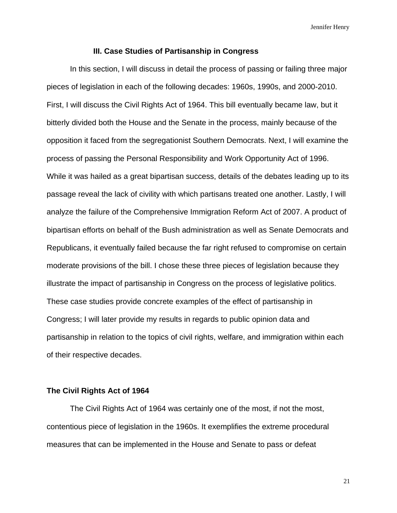#### **III. Case Studies of Partisanship in Congress**

In this section, I will discuss in detail the process of passing or failing three major pieces of legislation in each of the following decades: 1960s, 1990s, and 2000-2010. First, I will discuss the Civil Rights Act of 1964. This bill eventually became law, but it bitterly divided both the House and the Senate in the process, mainly because of the opposition it faced from the segregationist Southern Democrats. Next, I will examine the process of passing the Personal Responsibility and Work Opportunity Act of 1996. While it was hailed as a great bipartisan success, details of the debates leading up to its passage reveal the lack of civility with which partisans treated one another. Lastly, I will analyze the failure of the Comprehensive Immigration Reform Act of 2007. A product of bipartisan efforts on behalf of the Bush administration as well as Senate Democrats and Republicans, it eventually failed because the far right refused to compromise on certain moderate provisions of the bill. I chose these three pieces of legislation because they illustrate the impact of partisanship in Congress on the process of legislative politics. These case studies provide concrete examples of the effect of partisanship in Congress; I will later provide my results in regards to public opinion data and partisanship in relation to the topics of civil rights, welfare, and immigration within each of their respective decades.

#### **The Civil Rights Act of 1964**

 The Civil Rights Act of 1964 was certainly one of the most, if not the most, contentious piece of legislation in the 1960s. It exemplifies the extreme procedural measures that can be implemented in the House and Senate to pass or defeat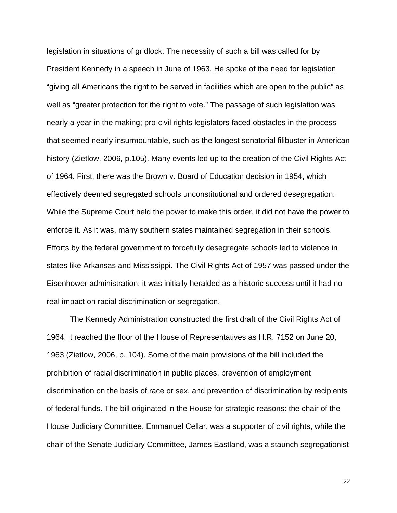legislation in situations of gridlock. The necessity of such a bill was called for by President Kennedy in a speech in June of 1963. He spoke of the need for legislation "giving all Americans the right to be served in facilities which are open to the public" as well as "greater protection for the right to vote." The passage of such legislation was nearly a year in the making; pro-civil rights legislators faced obstacles in the process that seemed nearly insurmountable, such as the longest senatorial filibuster in American history (Zietlow, 2006, p.105). Many events led up to the creation of the Civil Rights Act of 1964. First, there was the Brown v. Board of Education decision in 1954, which effectively deemed segregated schools unconstitutional and ordered desegregation. While the Supreme Court held the power to make this order, it did not have the power to enforce it. As it was, many southern states maintained segregation in their schools. Efforts by the federal government to forcefully desegregate schools led to violence in states like Arkansas and Mississippi. The Civil Rights Act of 1957 was passed under the Eisenhower administration; it was initially heralded as a historic success until it had no real impact on racial discrimination or segregation.

 The Kennedy Administration constructed the first draft of the Civil Rights Act of 1964; it reached the floor of the House of Representatives as H.R. 7152 on June 20, 1963 (Zietlow, 2006, p. 104). Some of the main provisions of the bill included the prohibition of racial discrimination in public places, prevention of employment discrimination on the basis of race or sex, and prevention of discrimination by recipients of federal funds. The bill originated in the House for strategic reasons: the chair of the House Judiciary Committee, Emmanuel Cellar, was a supporter of civil rights, while the chair of the Senate Judiciary Committee, James Eastland, was a staunch segregationist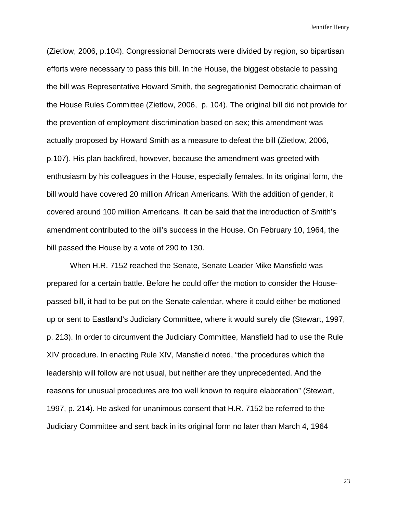(Zietlow, 2006, p.104). Congressional Democrats were divided by region, so bipartisan efforts were necessary to pass this bill. In the House, the biggest obstacle to passing the bill was Representative Howard Smith, the segregationist Democratic chairman of the House Rules Committee (Zietlow, 2006, p. 104). The original bill did not provide for the prevention of employment discrimination based on sex; this amendment was actually proposed by Howard Smith as a measure to defeat the bill (Zietlow, 2006, p.107). His plan backfired, however, because the amendment was greeted with enthusiasm by his colleagues in the House, especially females. In its original form, the bill would have covered 20 million African Americans. With the addition of gender, it covered around 100 million Americans. It can be said that the introduction of Smith's amendment contributed to the bill's success in the House. On February 10, 1964, the bill passed the House by a vote of 290 to 130.

 When H.R. 7152 reached the Senate, Senate Leader Mike Mansfield was prepared for a certain battle. Before he could offer the motion to consider the Housepassed bill, it had to be put on the Senate calendar, where it could either be motioned up or sent to Eastland's Judiciary Committee, where it would surely die (Stewart, 1997, p. 213). In order to circumvent the Judiciary Committee, Mansfield had to use the Rule XIV procedure. In enacting Rule XIV, Mansfield noted, "the procedures which the leadership will follow are not usual, but neither are they unprecedented. And the reasons for unusual procedures are too well known to require elaboration" (Stewart, 1997, p. 214). He asked for unanimous consent that H.R. 7152 be referred to the Judiciary Committee and sent back in its original form no later than March 4, 1964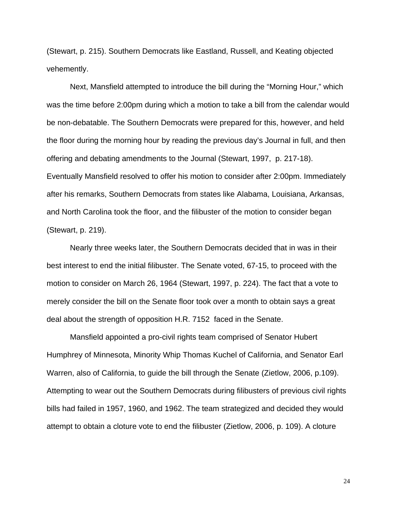(Stewart, p. 215). Southern Democrats like Eastland, Russell, and Keating objected vehemently.

 Next, Mansfield attempted to introduce the bill during the "Morning Hour," which was the time before 2:00pm during which a motion to take a bill from the calendar would be non-debatable. The Southern Democrats were prepared for this, however, and held the floor during the morning hour by reading the previous day's Journal in full, and then offering and debating amendments to the Journal (Stewart, 1997, p. 217-18). Eventually Mansfield resolved to offer his motion to consider after 2:00pm. Immediately after his remarks, Southern Democrats from states like Alabama, Louisiana, Arkansas, and North Carolina took the floor, and the filibuster of the motion to consider began (Stewart, p. 219).

 Nearly three weeks later, the Southern Democrats decided that in was in their best interest to end the initial filibuster. The Senate voted, 67-15, to proceed with the motion to consider on March 26, 1964 (Stewart, 1997, p. 224). The fact that a vote to merely consider the bill on the Senate floor took over a month to obtain says a great deal about the strength of opposition H.R. 7152 faced in the Senate.

 Mansfield appointed a pro-civil rights team comprised of Senator Hubert Humphrey of Minnesota, Minority Whip Thomas Kuchel of California, and Senator Earl Warren, also of California, to guide the bill through the Senate (Zietlow, 2006, p.109). Attempting to wear out the Southern Democrats during filibusters of previous civil rights bills had failed in 1957, 1960, and 1962. The team strategized and decided they would attempt to obtain a cloture vote to end the filibuster (Zietlow, 2006, p. 109). A cloture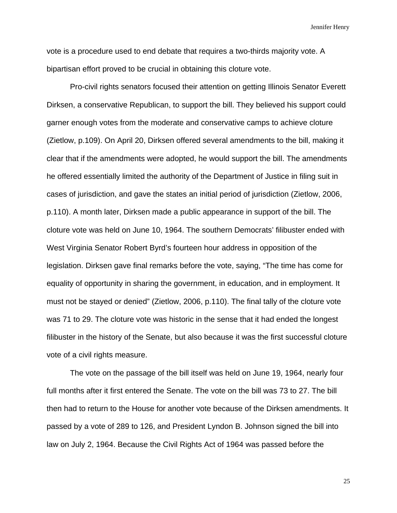vote is a procedure used to end debate that requires a two-thirds majority vote. A bipartisan effort proved to be crucial in obtaining this cloture vote.

 Pro-civil rights senators focused their attention on getting Illinois Senator Everett Dirksen, a conservative Republican, to support the bill. They believed his support could garner enough votes from the moderate and conservative camps to achieve cloture (Zietlow, p.109). On April 20, Dirksen offered several amendments to the bill, making it clear that if the amendments were adopted, he would support the bill. The amendments he offered essentially limited the authority of the Department of Justice in filing suit in cases of jurisdiction, and gave the states an initial period of jurisdiction (Zietlow, 2006, p.110). A month later, Dirksen made a public appearance in support of the bill. The cloture vote was held on June 10, 1964. The southern Democrats' filibuster ended with West Virginia Senator Robert Byrd's fourteen hour address in opposition of the legislation. Dirksen gave final remarks before the vote, saying, "The time has come for equality of opportunity in sharing the government, in education, and in employment. It must not be stayed or denied" (Zietlow, 2006, p.110). The final tally of the cloture vote was 71 to 29. The cloture vote was historic in the sense that it had ended the longest filibuster in the history of the Senate, but also because it was the first successful cloture vote of a civil rights measure.

 The vote on the passage of the bill itself was held on June 19, 1964, nearly four full months after it first entered the Senate. The vote on the bill was 73 to 27. The bill then had to return to the House for another vote because of the Dirksen amendments. It passed by a vote of 289 to 126, and President Lyndon B. Johnson signed the bill into law on July 2, 1964. Because the Civil Rights Act of 1964 was passed before the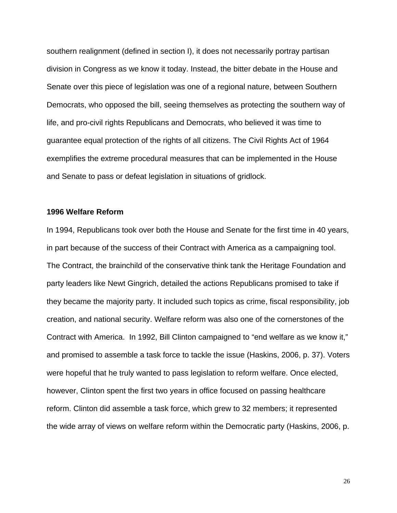southern realignment (defined in section I), it does not necessarily portray partisan division in Congress as we know it today. Instead, the bitter debate in the House and Senate over this piece of legislation was one of a regional nature, between Southern Democrats, who opposed the bill, seeing themselves as protecting the southern way of life, and pro-civil rights Republicans and Democrats, who believed it was time to guarantee equal protection of the rights of all citizens. The Civil Rights Act of 1964 exemplifies the extreme procedural measures that can be implemented in the House and Senate to pass or defeat legislation in situations of gridlock.

# **1996 Welfare Reform**

In 1994, Republicans took over both the House and Senate for the first time in 40 years, in part because of the success of their Contract with America as a campaigning tool. The Contract, the brainchild of the conservative think tank the Heritage Foundation and party leaders like Newt Gingrich, detailed the actions Republicans promised to take if they became the majority party. It included such topics as crime, fiscal responsibility, job creation, and national security. Welfare reform was also one of the cornerstones of the Contract with America. In 1992, Bill Clinton campaigned to "end welfare as we know it," and promised to assemble a task force to tackle the issue (Haskins, 2006, p. 37). Voters were hopeful that he truly wanted to pass legislation to reform welfare. Once elected, however, Clinton spent the first two years in office focused on passing healthcare reform. Clinton did assemble a task force, which grew to 32 members; it represented the wide array of views on welfare reform within the Democratic party (Haskins, 2006, p.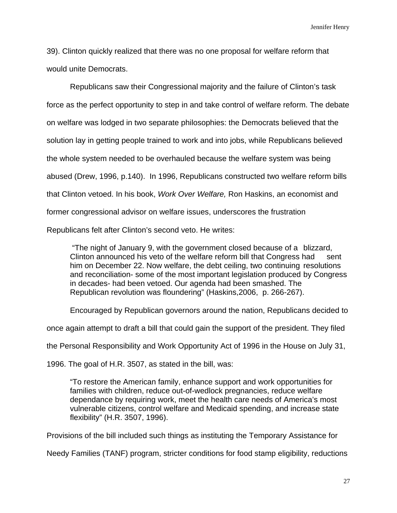39). Clinton quickly realized that there was no one proposal for welfare reform that would unite Democrats.

 Republicans saw their Congressional majority and the failure of Clinton's task force as the perfect opportunity to step in and take control of welfare reform. The debate on welfare was lodged in two separate philosophies: the Democrats believed that the solution lay in getting people trained to work and into jobs, while Republicans believed the whole system needed to be overhauled because the welfare system was being abused (Drew, 1996, p.140). In 1996, Republicans constructed two welfare reform bills that Clinton vetoed. In his book, *Work Over Welfare,* Ron Haskins, an economist and former congressional advisor on welfare issues, underscores the frustration Republicans felt after Clinton's second veto. He writes:

 "The night of January 9, with the government closed because of a blizzard, Clinton announced his veto of the welfare reform bill that Congress had sent him on December 22. Now welfare, the debt ceiling, two continuing resolutions and reconciliation- some of the most important legislation produced by Congress in decades- had been vetoed. Our agenda had been smashed. The Republican revolution was floundering" (Haskins,2006, p. 266-267).

Encouraged by Republican governors around the nation, Republicans decided to

once again attempt to draft a bill that could gain the support of the president. They filed

the Personal Responsibility and Work Opportunity Act of 1996 in the House on July 31,

1996. The goal of H.R. 3507, as stated in the bill, was:

 "To restore the American family, enhance support and work opportunities for families with children, reduce out-of-wedlock pregnancies, reduce welfare dependance by requiring work, meet the health care needs of America's most vulnerable citizens, control welfare and Medicaid spending, and increase state flexibility" (H.R. 3507, 1996).

Provisions of the bill included such things as instituting the Temporary Assistance for

Needy Families (TANF) program, stricter conditions for food stamp eligibility, reductions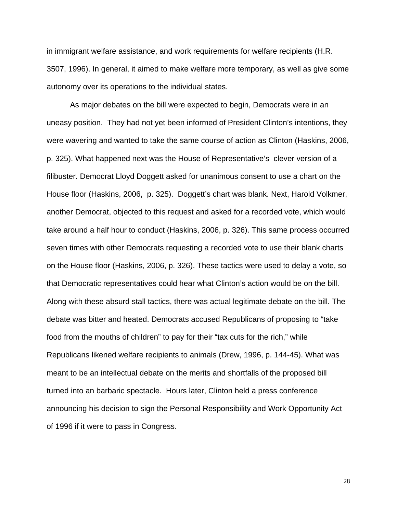in immigrant welfare assistance, and work requirements for welfare recipients (H.R. 3507, 1996). In general, it aimed to make welfare more temporary, as well as give some autonomy over its operations to the individual states.

 As major debates on the bill were expected to begin, Democrats were in an uneasy position. They had not yet been informed of President Clinton's intentions, they were wavering and wanted to take the same course of action as Clinton (Haskins, 2006, p. 325). What happened next was the House of Representative's clever version of a filibuster. Democrat Lloyd Doggett asked for unanimous consent to use a chart on the House floor (Haskins, 2006, p. 325). Doggett's chart was blank. Next, Harold Volkmer, another Democrat, objected to this request and asked for a recorded vote, which would take around a half hour to conduct (Haskins, 2006, p. 326). This same process occurred seven times with other Democrats requesting a recorded vote to use their blank charts on the House floor (Haskins, 2006, p. 326). These tactics were used to delay a vote, so that Democratic representatives could hear what Clinton's action would be on the bill. Along with these absurd stall tactics, there was actual legitimate debate on the bill. The debate was bitter and heated. Democrats accused Republicans of proposing to "take food from the mouths of children" to pay for their "tax cuts for the rich," while Republicans likened welfare recipients to animals (Drew, 1996, p. 144-45). What was meant to be an intellectual debate on the merits and shortfalls of the proposed bill turned into an barbaric spectacle. Hours later, Clinton held a press conference announcing his decision to sign the Personal Responsibility and Work Opportunity Act of 1996 if it were to pass in Congress.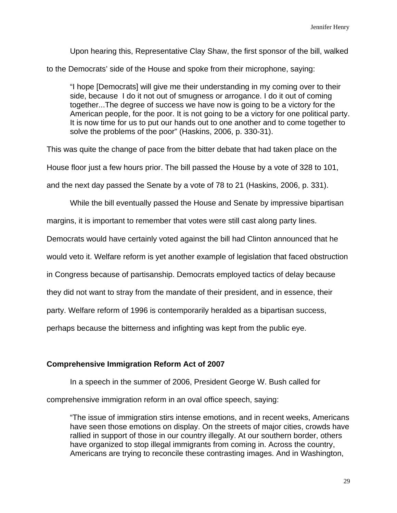Upon hearing this, Representative Clay Shaw, the first sponsor of the bill, walked

to the Democrats' side of the House and spoke from their microphone, saying:

 "I hope [Democrats] will give me their understanding in my coming over to their side, because I do it not out of smugness or arrogance. I do it out of coming together...The degree of success we have now is going to be a victory for the American people, for the poor. It is not going to be a victory for one political party. It is now time for us to put our hands out to one another and to come together to solve the problems of the poor" (Haskins, 2006, p. 330-31).

This was quite the change of pace from the bitter debate that had taken place on the

House floor just a few hours prior. The bill passed the House by a vote of 328 to 101,

and the next day passed the Senate by a vote of 78 to 21 (Haskins, 2006, p. 331).

While the bill eventually passed the House and Senate by impressive bipartisan

margins, it is important to remember that votes were still cast along party lines.

Democrats would have certainly voted against the bill had Clinton announced that he

would veto it. Welfare reform is yet another example of legislation that faced obstruction

in Congress because of partisanship. Democrats employed tactics of delay because

they did not want to stray from the mandate of their president, and in essence, their

party. Welfare reform of 1996 is contemporarily heralded as a bipartisan success,

perhaps because the bitterness and infighting was kept from the public eye.

# **Comprehensive Immigration Reform Act of 2007**

In a speech in the summer of 2006, President George W. Bush called for comprehensive immigration reform in an oval office speech, saying:

 "The issue of immigration stirs intense emotions, and in recent weeks, Americans have seen those emotions on display. On the streets of major cities, crowds have rallied in support of those in our country illegally. At our southern border, others have organized to stop illegal immigrants from coming in. Across the country, Americans are trying to reconcile these contrasting images. And in Washington,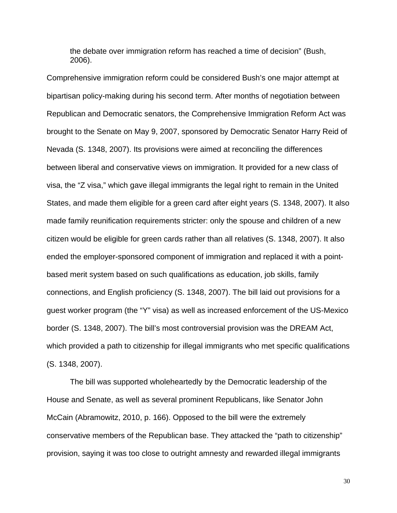the debate over immigration reform has reached a time of decision" (Bush, 2006).

Comprehensive immigration reform could be considered Bush's one major attempt at bipartisan policy-making during his second term. After months of negotiation between Republican and Democratic senators, the Comprehensive Immigration Reform Act was brought to the Senate on May 9, 2007, sponsored by Democratic Senator Harry Reid of Nevada (S. 1348, 2007). Its provisions were aimed at reconciling the differences between liberal and conservative views on immigration. It provided for a new class of visa, the "Z visa," which gave illegal immigrants the legal right to remain in the United States, and made them eligible for a green card after eight years (S. 1348, 2007). It also made family reunification requirements stricter: only the spouse and children of a new citizen would be eligible for green cards rather than all relatives (S. 1348, 2007). It also ended the employer-sponsored component of immigration and replaced it with a pointbased merit system based on such qualifications as education, job skills, family connections, and English proficiency (S. 1348, 2007). The bill laid out provisions for a guest worker program (the "Y" visa) as well as increased enforcement of the US-Mexico border (S. 1348, 2007). The bill's most controversial provision was the DREAM Act, which provided a path to citizenship for illegal immigrants who met specific qualifications (S. 1348, 2007).

 The bill was supported wholeheartedly by the Democratic leadership of the House and Senate, as well as several prominent Republicans, like Senator John McCain (Abramowitz, 2010, p. 166). Opposed to the bill were the extremely conservative members of the Republican base. They attacked the "path to citizenship" provision, saying it was too close to outright amnesty and rewarded illegal immigrants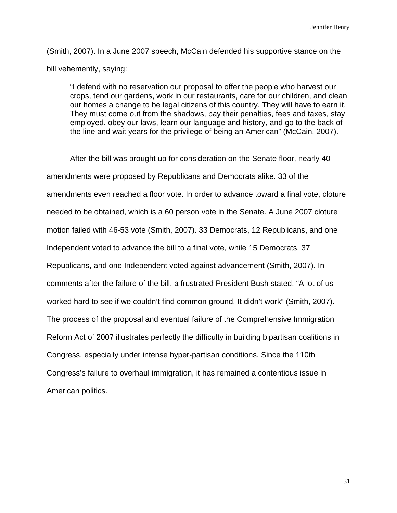(Smith, 2007). In a June 2007 speech, McCain defended his supportive stance on the bill vehemently, saying:

 "I defend with no reservation our proposal to offer the people who harvest our crops, tend our gardens, work in our restaurants, care for our children, and clean our homes a change to be legal citizens of this country. They will have to earn it. They must come out from the shadows, pay their penalties, fees and taxes, stay employed, obey our laws, learn our language and history, and go to the back of the line and wait years for the privilege of being an American" (McCain, 2007).

 After the bill was brought up for consideration on the Senate floor, nearly 40 amendments were proposed by Republicans and Democrats alike. 33 of the amendments even reached a floor vote. In order to advance toward a final vote, cloture needed to be obtained, which is a 60 person vote in the Senate. A June 2007 cloture motion failed with 46-53 vote (Smith, 2007). 33 Democrats, 12 Republicans, and one Independent voted to advance the bill to a final vote, while 15 Democrats, 37 Republicans, and one Independent voted against advancement (Smith, 2007). In comments after the failure of the bill, a frustrated President Bush stated, "A lot of us worked hard to see if we couldn't find common ground. It didn't work" (Smith, 2007). The process of the proposal and eventual failure of the Comprehensive Immigration Reform Act of 2007 illustrates perfectly the difficulty in building bipartisan coalitions in Congress, especially under intense hyper-partisan conditions. Since the 110th Congress's failure to overhaul immigration, it has remained a contentious issue in American politics.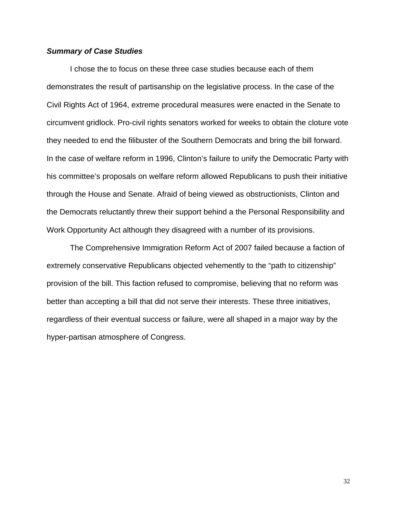## *Summary of Case Studies*

I chose the to focus on these three case studies because each of them demonstrates the result of partisanship on the legislative process. In the case of the Civil Rights Act of 1964, extreme procedural measures were enacted in the Senate to circumvent gridlock. Pro-civil rights senators worked for weeks to obtain the cloture vote they needed to end the filibuster of the Southern Democrats and bring the bill forward. In the case of welfare reform in 1996, Clinton's failure to unify the Democratic Party with his committee's proposals on welfare reform allowed Republicans to push their initiative through the House and Senate. Afraid of being viewed as obstructionists, Clinton and the Democrats reluctantly threw their support behind a the Personal Responsibility and Work Opportunity Act although they disagreed with a number of its provisions.

 The Comprehensive Immigration Reform Act of 2007 failed because a faction of extremely conservative Republicans objected vehemently to the "path to citizenship" provision of the bill. This faction refused to compromise, believing that no reform was better than accepting a bill that did not serve their interests. These three initiatives, regardless of their eventual success or failure, were all shaped in a major way by the hyper-partisan atmosphere of Congress.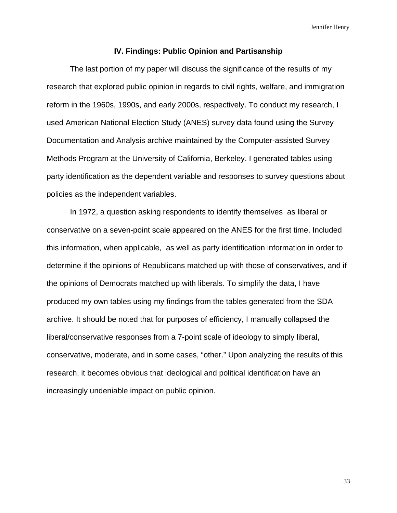#### **IV. Findings: Public Opinion and Partisanship**

 The last portion of my paper will discuss the significance of the results of my research that explored public opinion in regards to civil rights, welfare, and immigration reform in the 1960s, 1990s, and early 2000s, respectively. To conduct my research, I used American National Election Study (ANES) survey data found using the Survey Documentation and Analysis archive maintained by the Computer-assisted Survey Methods Program at the University of California, Berkeley. I generated tables using party identification as the dependent variable and responses to survey questions about policies as the independent variables.

 In 1972, a question asking respondents to identify themselves as liberal or conservative on a seven-point scale appeared on the ANES for the first time. Included this information, when applicable, as well as party identification information in order to determine if the opinions of Republicans matched up with those of conservatives, and if the opinions of Democrats matched up with liberals. To simplify the data, I have produced my own tables using my findings from the tables generated from the SDA archive. It should be noted that for purposes of efficiency, I manually collapsed the liberal/conservative responses from a 7-point scale of ideology to simply liberal, conservative, moderate, and in some cases, "other." Upon analyzing the results of this research, it becomes obvious that ideological and political identification have an increasingly undeniable impact on public opinion.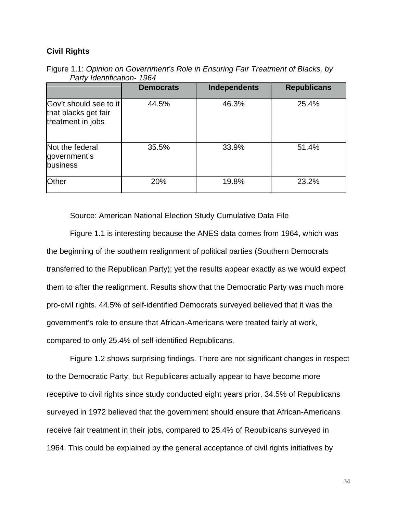# **Civil Rights**

|                                                                     | <b>Democrats</b> | <b>Independents</b> | <b>Republicans</b> |
|---------------------------------------------------------------------|------------------|---------------------|--------------------|
| Gov't should see to it<br>that blacks get fair<br>treatment in jobs | 44.5%            | 46.3%               | 25.4%              |
| Not the federal<br>government's<br>business                         | 35.5%            | 33.9%               | 51.4%              |
| Other                                                               | 20%              | 19.8%               | 23.2%              |

Figure 1.1: *Opinion on Government's Role in Ensuring Fair Treatment of Blacks, by Party Identification- 1964* 

Source: American National Election Study Cumulative Data File

 Figure 1.1 is interesting because the ANES data comes from 1964, which was the beginning of the southern realignment of political parties (Southern Democrats transferred to the Republican Party); yet the results appear exactly as we would expect them to after the realignment. Results show that the Democratic Party was much more pro-civil rights. 44.5% of self-identified Democrats surveyed believed that it was the government's role to ensure that African-Americans were treated fairly at work, compared to only 25.4% of self-identified Republicans.

 Figure 1.2 shows surprising findings. There are not significant changes in respect to the Democratic Party, but Republicans actually appear to have become more receptive to civil rights since study conducted eight years prior. 34.5% of Republicans surveyed in 1972 believed that the government should ensure that African-Americans receive fair treatment in their jobs, compared to 25.4% of Republicans surveyed in 1964. This could be explained by the general acceptance of civil rights initiatives by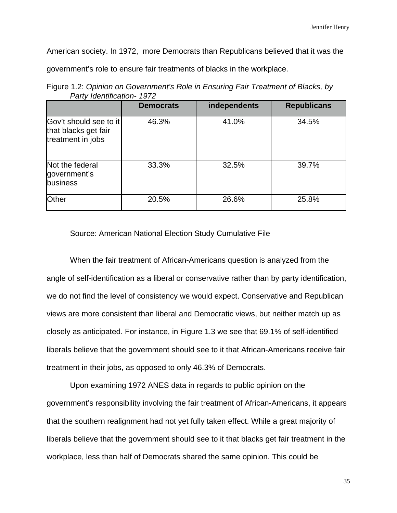American society. In 1972, more Democrats than Republicans believed that it was the

government's role to ensure fair treatments of blacks in the workplace.

|                                                                     | <b>Democrats</b> | independents | <b>Republicans</b> |
|---------------------------------------------------------------------|------------------|--------------|--------------------|
| Gov't should see to it<br>that blacks get fair<br>treatment in jobs | 46.3%            | 41.0%        | 34.5%              |
| Not the federal<br>government's<br>business                         | 33.3%            | 32.5%        | 39.7%              |
| Other                                                               | 20.5%            | 26.6%        | 25.8%              |

Figure 1.2: *Opinion on Government's Role in Ensuring Fair Treatment of Blacks, by Party Identification- 1972*

Source: American National Election Study Cumulative File

 When the fair treatment of African-Americans question is analyzed from the angle of self-identification as a liberal or conservative rather than by party identification, we do not find the level of consistency we would expect. Conservative and Republican views are more consistent than liberal and Democratic views, but neither match up as closely as anticipated. For instance, in Figure 1.3 we see that 69.1% of self-identified liberals believe that the government should see to it that African-Americans receive fair treatment in their jobs, as opposed to only 46.3% of Democrats.

 Upon examining 1972 ANES data in regards to public opinion on the government's responsibility involving the fair treatment of African-Americans, it appears that the southern realignment had not yet fully taken effect. While a great majority of liberals believe that the government should see to it that blacks get fair treatment in the workplace, less than half of Democrats shared the same opinion. This could be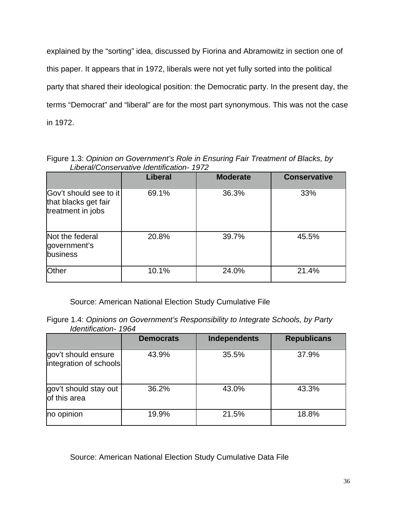explained by the "sorting" idea, discussed by Fiorina and Abramowitz in section one of this paper. It appears that in 1972, liberals were not yet fully sorted into the political party that shared their ideological position: the Democratic party. In the present day, the terms "Democrat" and "liberal" are for the most part synonymous. This was not the case in 1972.

Figure 1.3: *Opinion on Government's Role in Ensuring Fair Treatment of Blacks, by Liberal/Conservative Identification- 1972*

|                                                                     | <b>Liberal</b> | <b>Moderate</b> | <b>Conservative</b> |
|---------------------------------------------------------------------|----------------|-----------------|---------------------|
| Gov't should see to it<br>that blacks get fair<br>treatment in jobs | 69.1%          | 36.3%           | 33%                 |
| Not the federal<br>government's<br>business                         | 20.8%          | 39.7%           | 45.5%               |
| Other                                                               | 10.1%          | 24.0%           | 21.4%               |

Source: American National Election Study Cumulative File

Figure 1.4: *Opinions on Government's Responsibility to Integrate Schools, by Party Identification- 1964* 

|                                               | <b>Democrats</b> | <b>Independents</b> | <b>Republicans</b> |
|-----------------------------------------------|------------------|---------------------|--------------------|
| gov't should ensure<br>integration of schools | 43.9%            | 35.5%               | 37.9%              |
| gov't should stay out<br>of this area         | 36.2%            | 43.0%               | 43.3%              |
| no opinion                                    | 19.9%            | 21.5%               | 18.8%              |

Source: American National Election Study Cumulative Data File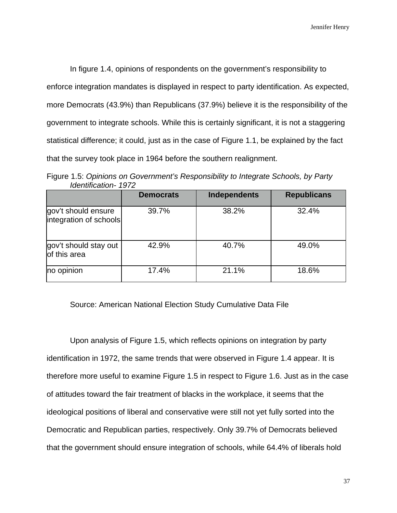In figure 1.4, opinions of respondents on the government's responsibility to enforce integration mandates is displayed in respect to party identification. As expected, more Democrats (43.9%) than Republicans (37.9%) believe it is the responsibility of the government to integrate schools. While this is certainly significant, it is not a staggering statistical difference; it could, just as in the case of Figure 1.1, be explained by the fact that the survey took place in 1964 before the southern realignment.

Figure 1.5: *Opinions on Government's Responsibility to Integrate Schools, by Party Identification- 1972*

|                                               | <b>Democrats</b> | <b>Independents</b> | <b>Republicans</b> |
|-----------------------------------------------|------------------|---------------------|--------------------|
| gov't should ensure<br>integration of schools | 39.7%            | 38.2%               | 32.4%              |
| gov't should stay out<br>of this area         | 42.9%            | 40.7%               | 49.0%              |
| no opinion                                    | 17.4%            | 21.1%               | 18.6%              |

# Source: American National Election Study Cumulative Data File

 Upon analysis of Figure 1.5, which reflects opinions on integration by party identification in 1972, the same trends that were observed in Figure 1.4 appear. It is therefore more useful to examine Figure 1.5 in respect to Figure 1.6. Just as in the case of attitudes toward the fair treatment of blacks in the workplace, it seems that the ideological positions of liberal and conservative were still not yet fully sorted into the Democratic and Republican parties, respectively. Only 39.7% of Democrats believed that the government should ensure integration of schools, while 64.4% of liberals hold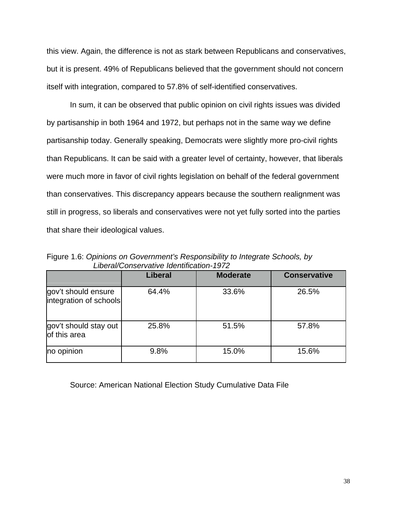this view. Again, the difference is not as stark between Republicans and conservatives, but it is present. 49% of Republicans believed that the government should not concern itself with integration, compared to 57.8% of self-identified conservatives.

 In sum, it can be observed that public opinion on civil rights issues was divided by partisanship in both 1964 and 1972, but perhaps not in the same way we define partisanship today. Generally speaking, Democrats were slightly more pro-civil rights than Republicans. It can be said with a greater level of certainty, however, that liberals were much more in favor of civil rights legislation on behalf of the federal government than conservatives. This discrepancy appears because the southern realignment was still in progress, so liberals and conservatives were not yet fully sorted into the parties that share their ideological values.

|                                               | <b>Liberal</b> | <b>Moderate</b> | <b>Conservative</b> |
|-----------------------------------------------|----------------|-----------------|---------------------|
| gov't should ensure<br>integration of schools | 64.4%          | 33.6%           | 26.5%               |
| gov't should stay out<br>of this area         | 25.8%          | 51.5%           | 57.8%               |
| no opinion                                    | 9.8%           | 15.0%           | 15.6%               |

Figure 1.6: *Opinions on Government's Responsibility to Integrate Schools, by Liberal/Conservative Identification-1972*

Source: American National Election Study Cumulative Data File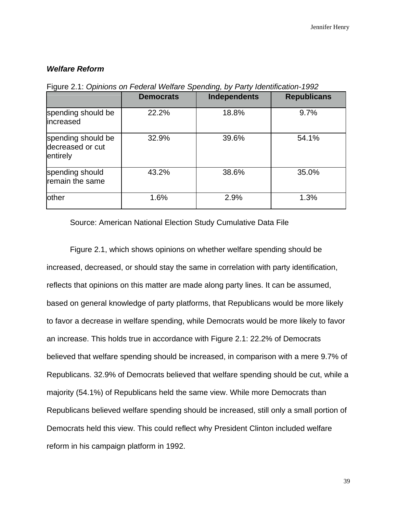# *Welfare Reform*

|                                                    | <b>Democrats</b> | <b>Independents</b> | <b>Republicans</b> |
|----------------------------------------------------|------------------|---------------------|--------------------|
| spending should be<br>increased                    | 22.2%            | 18.8%               | 9.7%               |
| spending should be<br>decreased or cut<br>entirely | 32.9%            | 39.6%               | 54.1%              |
| spending should<br>remain the same                 | 43.2%            | 38.6%               | 35.0%              |
| other                                              | 1.6%             | 2.9%                | 1.3%               |

Figure 2.1: *Opinions on Federal Welfare Spending, by Party Identification-1992* 

Source: American National Election Study Cumulative Data File

 Figure 2.1, which shows opinions on whether welfare spending should be increased, decreased, or should stay the same in correlation with party identification, reflects that opinions on this matter are made along party lines. It can be assumed, based on general knowledge of party platforms, that Republicans would be more likely to favor a decrease in welfare spending, while Democrats would be more likely to favor an increase. This holds true in accordance with Figure 2.1: 22.2% of Democrats believed that welfare spending should be increased, in comparison with a mere 9.7% of Republicans. 32.9% of Democrats believed that welfare spending should be cut, while a majority (54.1%) of Republicans held the same view. While more Democrats than Republicans believed welfare spending should be increased, still only a small portion of Democrats held this view. This could reflect why President Clinton included welfare reform in his campaign platform in 1992.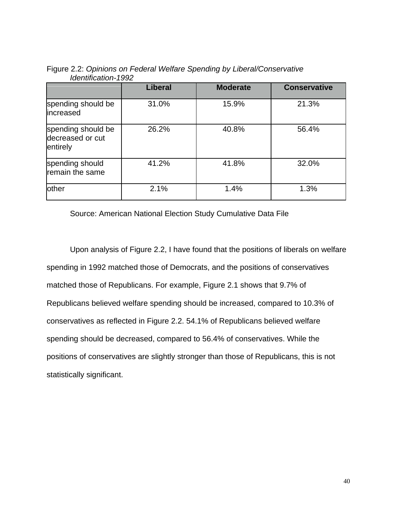|                                                    | <b>Liberal</b> | <b>Moderate</b> | <b>Conservative</b> |
|----------------------------------------------------|----------------|-----------------|---------------------|
| spending should be<br>increased                    | 31.0%          | 15.9%           | 21.3%               |
| spending should be<br>decreased or cut<br>entirely | 26.2%          | 40.8%           | 56.4%               |
| spending should<br>remain the same                 | 41.2%          | 41.8%           | 32.0%               |
| other                                              | 2.1%           | 1.4%            | 1.3%                |

Figure 2.2: *Opinions on Federal Welfare Spending by Liberal/Conservative Identification-1992* 

Source: American National Election Study Cumulative Data File

 Upon analysis of Figure 2.2, I have found that the positions of liberals on welfare spending in 1992 matched those of Democrats, and the positions of conservatives matched those of Republicans. For example, Figure 2.1 shows that 9.7% of Republicans believed welfare spending should be increased, compared to 10.3% of conservatives as reflected in Figure 2.2. 54.1% of Republicans believed welfare spending should be decreased, compared to 56.4% of conservatives. While the positions of conservatives are slightly stronger than those of Republicans, this is not statistically significant.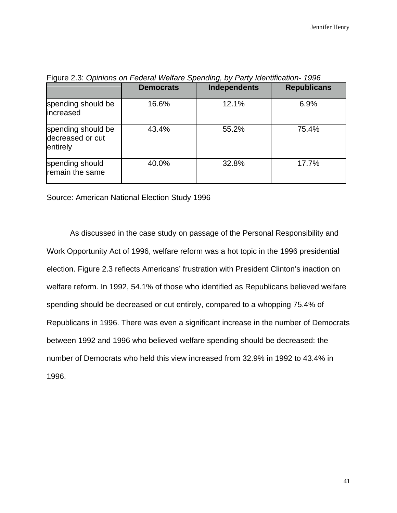|                                                    | <b>Democrats</b> | <b>Independents</b> | <b>Republicans</b> |
|----------------------------------------------------|------------------|---------------------|--------------------|
| spending should be<br>increased                    | 16.6%            | 12.1%               | 6.9%               |
| spending should be<br>decreased or cut<br>entirely | 43.4%            | 55.2%               | 75.4%              |
| spending should<br>remain the same                 | 40.0%            | 32.8%               | 17.7%              |

Figure 2.3: *Opinions on Federal Welfare Spending, by Party Identification- 1996* 

Source: American National Election Study 1996

 As discussed in the case study on passage of the Personal Responsibility and Work Opportunity Act of 1996, welfare reform was a hot topic in the 1996 presidential election. Figure 2.3 reflects Americans' frustration with President Clinton's inaction on welfare reform. In 1992, 54.1% of those who identified as Republicans believed welfare spending should be decreased or cut entirely, compared to a whopping 75.4% of Republicans in 1996. There was even a significant increase in the number of Democrats between 1992 and 1996 who believed welfare spending should be decreased: the number of Democrats who held this view increased from 32.9% in 1992 to 43.4% in 1996.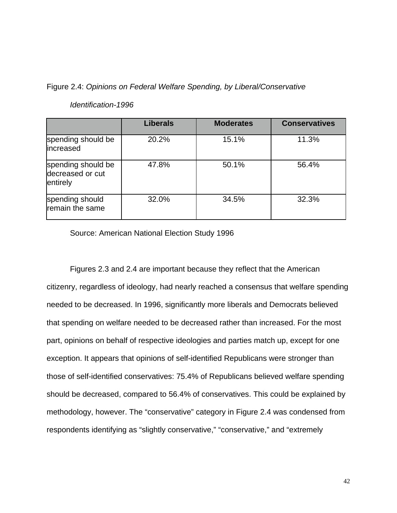Figure 2.4: *Opinions on Federal Welfare Spending, by Liberal/Conservative* 

|                                                    | <b>Liberals</b> | <b>Moderates</b> | <b>Conservatives</b> |
|----------------------------------------------------|-----------------|------------------|----------------------|
| spending should be<br>increased                    | 20.2%           | 15.1%            | 11.3%                |
| spending should be<br>decreased or cut<br>entirely | 47.8%           | 50.1%            | 56.4%                |
| spending should<br>remain the same                 | 32.0%           | 34.5%            | 32.3%                |

# *Identification-1996*

Source: American National Election Study 1996

 Figures 2.3 and 2.4 are important because they reflect that the American citizenry, regardless of ideology, had nearly reached a consensus that welfare spending needed to be decreased. In 1996, significantly more liberals and Democrats believed that spending on welfare needed to be decreased rather than increased. For the most part, opinions on behalf of respective ideologies and parties match up, except for one exception. It appears that opinions of self-identified Republicans were stronger than those of self-identified conservatives: 75.4% of Republicans believed welfare spending should be decreased, compared to 56.4% of conservatives. This could be explained by methodology, however. The "conservative" category in Figure 2.4 was condensed from respondents identifying as "slightly conservative," "conservative," and "extremely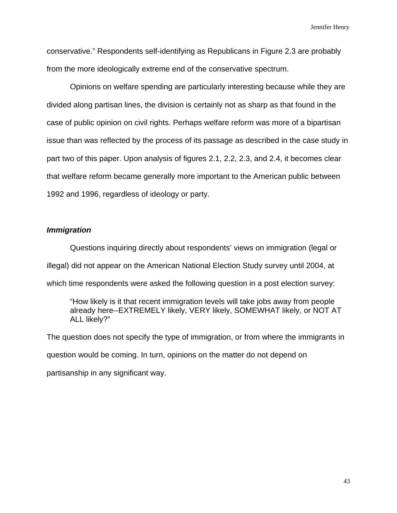conservative." Respondents self-identifying as Republicans in Figure 2.3 are probably from the more ideologically extreme end of the conservative spectrum.

 Opinions on welfare spending are particularly interesting because while they are divided along partisan lines, the division is certainly not as sharp as that found in the case of public opinion on civil rights. Perhaps welfare reform was more of a bipartisan issue than was reflected by the process of its passage as described in the case study in part two of this paper. Upon analysis of figures 2.1, 2.2, 2.3, and 2.4, it becomes clear that welfare reform became generally more important to the American public between 1992 and 1996, regardless of ideology or party.

# *Immigration*

Questions inquiring directly about respondents' views on immigration (legal or illegal) did not appear on the American National Election Study survey until 2004, at which time respondents were asked the following question in a post election survey:

 "How likely is it that recent immigration levels will take jobs away from people already here--EXTREMELY likely, VERY likely, SOMEWHAT likely, or NOT AT ALL likely?"

The question does not specify the type of immigration, or from where the immigrants in question would be coming. In turn, opinions on the matter do not depend on partisanship in any significant way.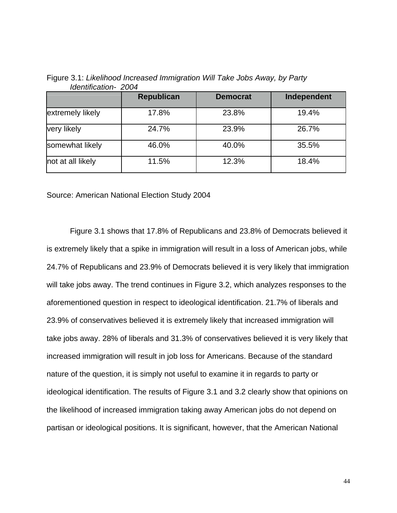|                   | <b>Republican</b> | <b>Democrat</b> | Independent |
|-------------------|-------------------|-----------------|-------------|
| extremely likely  | 17.8%             | 23.8%           | 19.4%       |
| very likely       | 24.7%             | 23.9%           | 26.7%       |
| somewhat likely   | 46.0%             | 40.0%           | 35.5%       |
| not at all likely | 11.5%             | 12.3%           | 18.4%       |

Figure 3.1: *Likelihood Increased Immigration Will Take Jobs Away, by Party Identification- 2004*

Source: American National Election Study 2004

 Figure 3.1 shows that 17.8% of Republicans and 23.8% of Democrats believed it is extremely likely that a spike in immigration will result in a loss of American jobs, while 24.7% of Republicans and 23.9% of Democrats believed it is very likely that immigration will take jobs away. The trend continues in Figure 3.2, which analyzes responses to the aforementioned question in respect to ideological identification. 21.7% of liberals and 23.9% of conservatives believed it is extremely likely that increased immigration will take jobs away. 28% of liberals and 31.3% of conservatives believed it is very likely that increased immigration will result in job loss for Americans. Because of the standard nature of the question, it is simply not useful to examine it in regards to party or ideological identification. The results of Figure 3.1 and 3.2 clearly show that opinions on the likelihood of increased immigration taking away American jobs do not depend on partisan or ideological positions. It is significant, however, that the American National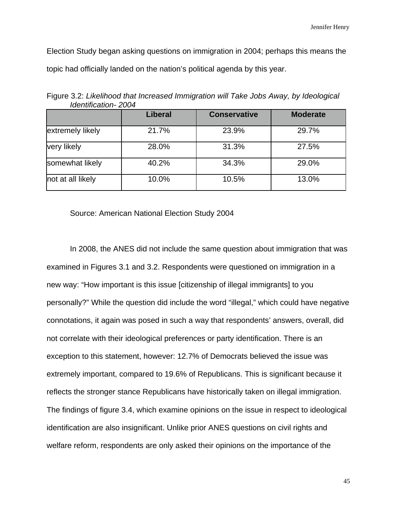Election Study began asking questions on immigration in 2004; perhaps this means the topic had officially landed on the nation's political agenda by this year.

|                   | <b>Liberal</b> | <b>Conservative</b> | <b>Moderate</b> |
|-------------------|----------------|---------------------|-----------------|
| extremely likely  | 21.7%          | 23.9%               | 29.7%           |
| very likely       | 28.0%          | 31.3%               | 27.5%           |
| somewhat likely   | 40.2%          | 34.3%               | 29.0%           |
| not at all likely | 10.0%          | 10.5%               | 13.0%           |

Figure 3.2: *Likelihood that Increased Immigration will Take Jobs Away, by Ideological Identification- 2004*

Source: American National Election Study 2004

 In 2008, the ANES did not include the same question about immigration that was examined in Figures 3.1 and 3.2. Respondents were questioned on immigration in a new way: "How important is this issue [citizenship of illegal immigrants] to you personally?" While the question did include the word "illegal," which could have negative connotations, it again was posed in such a way that respondents' answers, overall, did not correlate with their ideological preferences or party identification. There is an exception to this statement, however: 12.7% of Democrats believed the issue was extremely important, compared to 19.6% of Republicans. This is significant because it reflects the stronger stance Republicans have historically taken on illegal immigration. The findings of figure 3.4, which examine opinions on the issue in respect to ideological identification are also insignificant. Unlike prior ANES questions on civil rights and welfare reform, respondents are only asked their opinions on the importance of the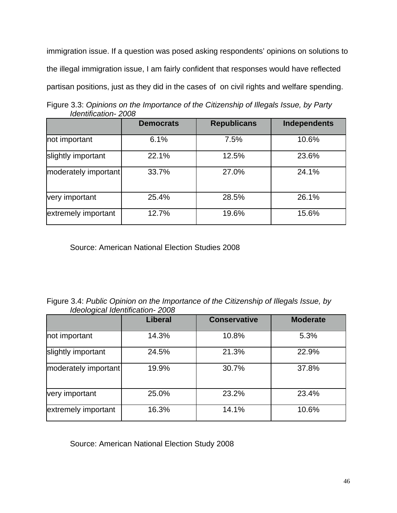immigration issue. If a question was posed asking respondents' opinions on solutions to the illegal immigration issue, I am fairly confident that responses would have reflected partisan positions, just as they did in the cases of on civil rights and welfare spending.

Figure 3.3: *Opinions on the Importance of the Citizenship of Illegals Issue, by Party Identification- 2008*

|                      | <b>Democrats</b> | <b>Republicans</b> | <b>Independents</b> |
|----------------------|------------------|--------------------|---------------------|
| not important        | 6.1%             | 7.5%               | 10.6%               |
| slightly important   | 22.1%            | 12.5%              | 23.6%               |
| moderately important | 33.7%            | 27.0%              | 24.1%               |
| very important       | 25.4%            | 28.5%              | 26.1%               |
| extremely important  | 12.7%            | 19.6%              | 15.6%               |

Source: American National Election Studies 2008

Figure 3.4: *Public Opinion on the Importance of the Citizenship of Illegals Issue, by Ideological Identification- 2008*

|                      | <b>Liberal</b> | <b>Conservative</b> | <b>Moderate</b> |
|----------------------|----------------|---------------------|-----------------|
| not important        | 14.3%          | 10.8%               | 5.3%            |
| slightly important   | 24.5%          | 21.3%               | 22.9%           |
| moderately important | 19.9%          | 30.7%               | 37.8%           |
| very important       | 25.0%          | 23.2%               | 23.4%           |
| extremely important  | 16.3%          | 14.1%               | 10.6%           |

Source: American National Election Study 2008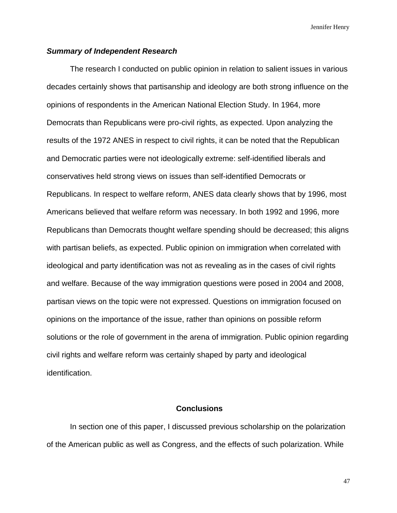#### *Summary of Independent Research*

 The research I conducted on public opinion in relation to salient issues in various decades certainly shows that partisanship and ideology are both strong influence on the opinions of respondents in the American National Election Study. In 1964, more Democrats than Republicans were pro-civil rights, as expected. Upon analyzing the results of the 1972 ANES in respect to civil rights, it can be noted that the Republican and Democratic parties were not ideologically extreme: self-identified liberals and conservatives held strong views on issues than self-identified Democrats or Republicans. In respect to welfare reform, ANES data clearly shows that by 1996, most Americans believed that welfare reform was necessary. In both 1992 and 1996, more Republicans than Democrats thought welfare spending should be decreased; this aligns with partisan beliefs, as expected. Public opinion on immigration when correlated with ideological and party identification was not as revealing as in the cases of civil rights and welfare. Because of the way immigration questions were posed in 2004 and 2008, partisan views on the topic were not expressed. Questions on immigration focused on opinions on the importance of the issue, rather than opinions on possible reform solutions or the role of government in the arena of immigration. Public opinion regarding civil rights and welfare reform was certainly shaped by party and ideological identification.

#### **Conclusions**

In section one of this paper, I discussed previous scholarship on the polarization of the American public as well as Congress, and the effects of such polarization. While